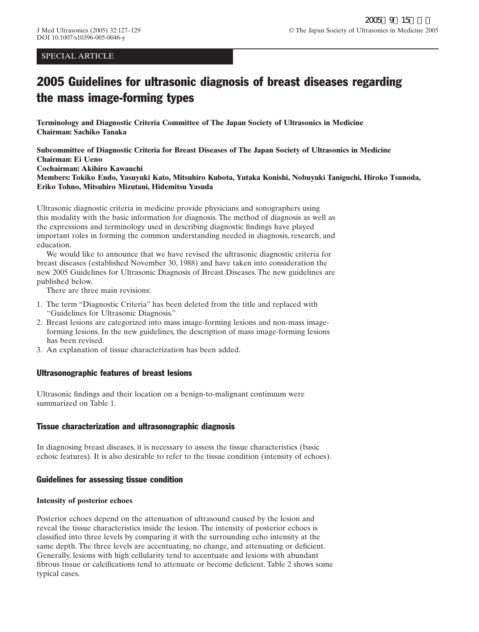## SPECIAL ARTICLE

# 2005 Guidelines for ultrasonic diagnosis of breast diseases regarding the mass image-forming types

**Terminology and Diagnostic Criteria Committee of The Japan Society of Ultrasonics in Medicine Chairman: Sachiko Tanaka**

**Subcommittee of Diagnostic Criteria for Breast Diseases of The Japan Society of Ultrasonics in Medicine Chairman: Ei Ueno Cochairman: Akihiro Kawauchi Members: Tokiko Endo, Yasuyuki Kato, Mitsuhiro Kubota, Yutaka Konishi, Nobuyuki Taniguchi, Hiroko Tsunoda, Eriko Tohno, Mitsuhiro Mizutani, Hidemitsu Yasuda**

Ultrasonic diagnostic criteria in medicine provide physicians and sonographers using this modality with the basic information for diagnosis. The method of diagnosis as well as the expressions and terminology used in describing diagnostic findings have played important roles in forming the common understanding needed in diagnosis, research, and education.

We would like to announce that we have revised the ultrasonic diagnostic criteria for breast diseases (established November 30, 1988) and have taken into consideration the new 2005 Guidelines for Ultrasonic Diagnosis of Breast Diseases. The new guidelines are published below.

There are three main revisions:

- 1. The term "Diagnostic Criteria" has been deleted from the title and replaced with "Guidelines for Ultrasonic Diagnosis."
- 2. Breast lesions are categorized into mass image-forming lesions and non-mass imageforming lesions. In the new guidelines, the description of mass image-forming lesions has been revised.
- 3. An explanation of tissue characterization has been added.

## Ultrasonographic features of breast lesions

Ultrasonic findings and their location on a benign-to-malignant continuum were summarized on Table 1.

## Tissue characterization and ultrasonographic diagnosis

In diagnosing breast diseases, it is necessary to assess the tissue characteristics (basic echoic features). It is also desirable to refer to the tissue condition (intensity of echoes).

## Guidelines for assessing tissue condition

#### **Intensity of posterior echoes**

Posterior echoes depend on the attenuation of ultrasound caused by the lesion and reveal the tissue characteristics inside the lesion. The intensity of posterior echoes is classified into three levels by comparing it with the surrounding echo intensity at the same depth. The three levels are accentuating, no change, and attenuating or deficient. Generally, lesions with high cellularity tend to accentuate and lesions with abundant fibrous tissue or calcifications tend to attenuate or become deficient. Table 2 shows some typical cases.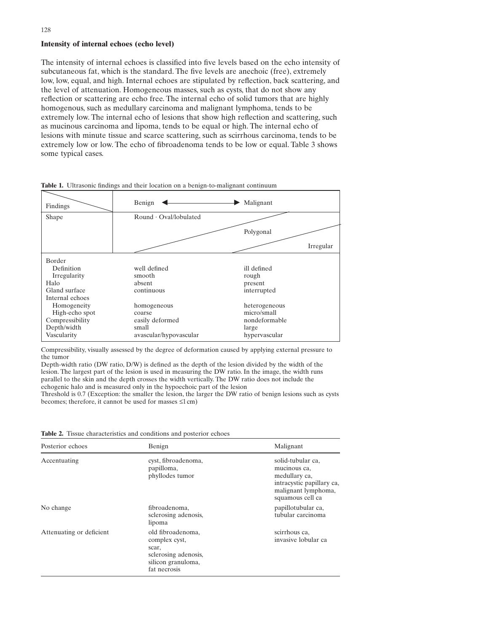#### **Intensity of internal echoes (echo level)**

The intensity of internal echoes is classified into five levels based on the echo intensity of subcutaneous fat, which is the standard. The five levels are anechoic (free), extremely low, low, equal, and high. Internal echoes are stipulated by reflection, back scattering, and the level of attenuation. Homogeneous masses, such as cysts, that do not show any reflection or scattering are echo free. The internal echo of solid tumors that are highly homogenous, such as medullary carcinoma and malignant lymphoma, tends to be extremely low. The internal echo of lesions that show high reflection and scattering, such as mucinous carcinoma and lipoma, tends to be equal or high. The internal echo of lesions with minute tissue and scarce scattering, such as scirrhous carcinoma, tends to be extremely low or low. The echo of fibroadenoma tends to be low or equal. Table 3 shows some typical cases.



**Table 1.** Ultrasonic findings and their location on a benign-to-malignant continuum

Compressibility, visually assessed by the degree of deformation caused by applying external pressure to the tumor

Depth-width ratio (DW ratio, D/W) is defined as the depth of the lesion divided by the width of the lesion. The largest part of the lesion is used in measuring the DW ratio. In the image, the width runs parallel to the skin and the depth crosses the width vertically. The DW ratio does not include the echogenic halo and is measured only in the hypoechoic part of the lesion

Threshold is 0.7 (Exception: the smaller the lesion, the larger the DW ratio of benign lesions such as cysts becomes; therefore, it cannot be used for masses  $\leq 1$  cm)

**Table 2.** Tissue characteristics and conditions and posterior echoes

| Posterior echoes         | Benign                                                                                                    | Malignant                                                                                                                  |
|--------------------------|-----------------------------------------------------------------------------------------------------------|----------------------------------------------------------------------------------------------------------------------------|
| Accentuating             | cyst, fibroadenoma,<br>papilloma,<br>phyllodes tumor                                                      | solid-tubular ca,<br>mucinous ca.<br>medullary ca,<br>intracystic papillary ca,<br>malignant lymphoma,<br>squamous cell ca |
| No change                | fibroadenoma,<br>sclerosing adenosis,<br>lipoma                                                           | papillotubular ca,<br>tubular carcinoma                                                                                    |
| Attenuating or deficient | old fibroadenoma,<br>complex cyst,<br>scar,<br>sclerosing adenosis,<br>silicon granuloma,<br>fat necrosis | scirrhous ca.<br>invasive lobular ca                                                                                       |